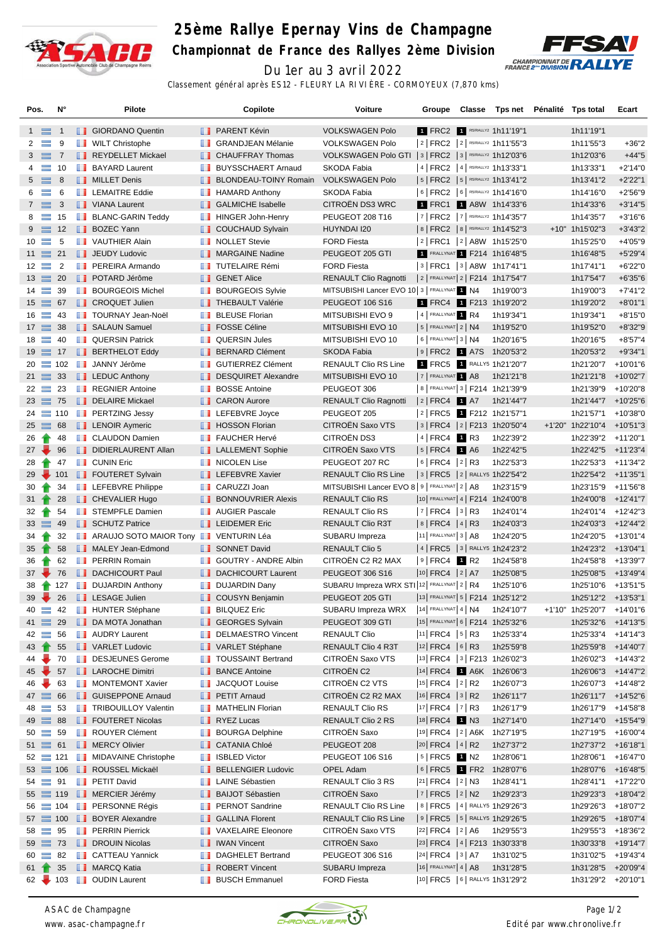

## **25ème Rallye Epernay Vins de Champagne**

**Championnat de France des Rallyes 2ème Division**



Du 1er au 3 avril 2022 Classement général après ES12 - FLEURY LA RIVIÈRE - CORMOYEUX (7,870 kms)

| Pos.            |                  | N°             | Pilote                         |   | Copilote                     | Voiture                                                  | Groupe                   | Classe | Tps net Pénalité Tps total           |                           | Ecart      |
|-----------------|------------------|----------------|--------------------------------|---|------------------------------|----------------------------------------------------------|--------------------------|--------|--------------------------------------|---------------------------|------------|
|                 | $1 \equiv$       | $\overline{1}$ | GIORDANO Quentin               |   | <b>B</b> PARENT Kévin        | <b>VOLKSWAGEN Polo</b>                                   |                          |        | 1 FRC2 1 R5/RALLY2 1h11'19"1         | 1h11'19"1                 |            |
| $\mathbf{2}$    | $\equiv$         | 9              | <b>WILT Christophe</b>         | u | <b>GRANDJEAN Mélanie</b>     | <b>VOLKSWAGEN Polo</b>                                   |                          |        | 2 FRC2 2 FIRS/RALLY2 1h11'55"3       | 1h11'55"3                 | $+36"2$    |
|                 | $3 \equiv$       | $\overline{7}$ | REYDELLET Mickael              |   | <b>CHAUFFRAY Thomas</b>      | VOLKSWAGEN Polo GTI   3   FRC2   3   R5/RALLY2 1h12'03"6 |                          |        |                                      | 1h12'03"6                 | $+44"5$    |
| 4               | $\equiv$         | 10             | <b>BAYARD Laurent</b>          | m | <b>BUYSSCHAERT Arnaud</b>    | SKODA Fabia                                              |                          |        | 4   FRC2   4   R5/RALLY2 1h13'33"1   | 1h13'33"1                 | $+2'14"0$  |
|                 | $5 \equiv$       | 8              | <b>NILLET</b> Denis            |   | <b>BLONDEAU-TOINY Romain</b> | <b>VOLKSWAGEN Polo</b>                                   |                          |        | $ 5 $ FRC2 $ 5 $ RS/RALLY2 1h13'41"2 | 1h13'41"2                 | $+2'22"1$  |
| 6               | $\equiv$         | 6              | <b>LEMAITRE Eddie</b>          | ш | <b>HAMARD Anthony</b>        | SKODA Fabia                                              |                          |        | 6   FRC2   6   R5/RALLY2 1h14'16"0   | 1h14'16"0                 | $+2'56''9$ |
|                 | $7 \equiv$       | 3              | VIANA Laurent                  |   | <b>SALMICHE Isabelle</b>     | CITROËN DS3 WRC                                          |                          |        | 1 FRC1 1 A8W 1h14'33"6               | 1h14'33"6                 | $+3'14"5$  |
| 8               | $\equiv$         | 15             | <b>BLANC-GARIN Teddy</b>       | m | <b>HINGER John-Henry</b>     | PEUGEOT 208 T16                                          |                          |        | 7   FRC2   7   R5/RALLY2 1h14'35"7   | 1h14'35"7                 | $+3'16''6$ |
|                 | $9 \equiv$       | 12             | <b>BOZEC Yann</b>              | ш | <b>COUCHAUD Sylvain</b>      | HUYNDAI I20                                              |                          |        | 8   FRC2   8   R5/RALLY2 1h14'52"3   | +10" 1h15'02"3            | $+3'43''2$ |
|                 | $10 =$           | 5              | <b>T</b> VAUTHIER Alain        | ш | <b>NOLLET Stevie</b>         | <b>FORD Fiesta</b>                                       |                          |        | 2  FRC1  2  A8W 1h15'25"0            | 1h15'25"0                 | $+4'05"9$  |
|                 | $11 \equiv$      | 21             | <b>JEUDY Ludovic</b>           |   | MARGAINE Nadine              | PEUGEOT 205 GTI                                          |                          |        | FRALLYNAT 1 F214 1h16'48"5           | 1h16'48"5                 | $+5'29''4$ |
|                 | $12 \equiv$      | $\overline{2}$ | <b>FEREIRA Armando</b>         | u | <b>TUTELAIRE Rémi</b>        | <b>FORD Fiesta</b>                                       |                          |        | $ 3 $ FRC1 $ 3 $ A8W 1h17'41"1       | 1h17'41"1                 | $+6'22"0$  |
|                 | $13 \equiv$      | 20             | <b>DE POTARD Jérôme</b>        |   | <b>B</b> GENET Alice         | <b>RENAULT Clio Ragnotti</b>                             |                          |        | 2 FRALLYNAT 2   F214 1h17'54"7       | 1h17'54"7                 | $+6'35"6$  |
|                 | $14 =$           | 39             | <b>BOURGEOIS Michel</b>        |   | <b>BOURGEOIS Sylvie</b>      | MITSUBISHI Lancer EVO 10 3   FRALLYNAT 1 N4              |                          |        | 1h19'00"3                            | 1h19'00"3                 | $+7'41''2$ |
|                 | $15 \equiv 67$   |                | <b>CROQUET Julien</b>          | ш | <b>THEBAULT Valérie</b>      | PEUGEOT 106 S16                                          |                          |        | 1 FRC4 1 F213 1h19'20"2              | 1h19'20"2                 | $+8'01"1$  |
|                 | $16 \equiv$      | 43             | <b>TOURNAY Jean-Noël</b>       | w | <b>BLEUSE Florian</b>        | MITSUBISHI EVO 9                                         | 4 FRALLYNAT 1 R4         |        | 1h19'34"1                            | 1h19'34"1                 | $+8'15"0$  |
|                 | $17 \equiv$      | 38             | SALAUN Samuel                  |   | <b>FOSSE Céline</b>          | MITSUBISHI EVO 10                                        | $ 5 $ Frallynat $ 2 $ N4 |        | 1h19'52"0                            | 1h19'52"0                 | $+8'32"9$  |
|                 | $18 \equiv$      | 40             | <b>QUERSIN Patrick</b>         | w | <b>QUERSIN Jules</b>         | MITSUBISHI EVO 10                                        | $6$ FRALLYNAT 3 N4       |        | 1h20'16"5                            | 1h20'16"5                 | $+8'57''4$ |
|                 | $19 \equiv$      | 17             | <b>BERTHELOT Eddy</b>          |   | <b>BERNARD Clément</b>       | SKODA Fabia                                              |                          |        | 9 FRC2 1 A7S 1h20'53"2               | 1h20'53"2                 | $+9'34"1$  |
|                 | $20 \equiv 102$  |                | <b>JANNY Jérôme</b>            | ш | <b>GUTIERREZ Clément</b>     | <b>RENAULT Clio RS Line</b>                              |                          |        | 1 FRC5 1 RALLY5 1h21'20"7            | 1h21'20"7 +10'01"6        |            |
|                 | $21 \equiv 33$   |                | $\blacksquare$ LEDUC Anthony   | ш | <b>DESQUIRET Alexandre</b>   | MITSUBISHI EVO 10                                        | 7 FRALLYNAT 1 A8         |        | 1h21'21"8                            | 1h21'21"8                 | +10'02"7   |
|                 | $22 \equiv 23$   |                | <b>REGNIER Antoine</b>         | ш | <b>BOSSE Antoine</b>         | PEUGEOT 306                                              |                          |        | 8   FRALLYNAT 3   F214 1h21'39"9     | 1h21'39"9 +10'20"8        |            |
|                 | $23 \equiv 75$   |                | DELAIRE Mickael                |   | <b>CARON Aurore</b>          | <b>RENAULT Clio Ragnotti</b>                             | $ 2 $ FRC4 1 A7          |        | 1h21'44"7                            | 1h21'44"7                 | +10'25"6   |
|                 | $24 = 110$       |                | <b>PERTZING Jessy</b>          |   | LEFEBVRE Joyce               | PEUGEOT 205                                              |                          |        | 2 FRC5 1 F212 1h21'57"1              | 1h21'57"1                 | +10'38"0   |
|                 | $25 \equiv$      | 68             | <b>LENOIR Aymeric</b>          |   | <b>B</b> HOSSON Florian      | CITROËN Saxo VTS                                         |                          |        | 3  FRC4  2  F213 1h20'50"4           | +1'20" 1h22'10"4          | +10'51"3   |
| 26              | Ŧ                | 48             | <b>CLAUDON Damien</b>          | w | <b>FAUCHER Hervé</b>         | CITROËN DS3                                              | $ 4 $ FRC4 1 R3          |        | 1h22'39"2                            | 1h22'39"2 +11'20"1        |            |
|                 | $27 -$           | 96             | DIDIERLAURENT Allan            |   | <b>LE</b> LALLEMENT Sophie   | CITROËN Saxo VTS                                         | $ 5 $ FRC4 1 A6          |        | 1h22'42"5                            | 1h22'42"5 +11'23"4        |            |
| 28              |                  | 47             | <b>CUNIN Eric</b>              |   | <b>NICOLEN Lise</b>          | PEUGEOT 207 RC                                           | 6   FRC4   2   R3        |        | 1h22'53"3                            | 1h22'53"3 +11'34"2        |            |
| 29              |                  | 101            | <b>FOUTERET Sylvain</b>        |   | <b>LEFEBVRE Xavier</b>       | <b>RENAULT Clio RS Line</b>                              |                          |        | 3   FRC5   2   RALLY5 1h22'54"2      | 1h22'54"2 +11'35"1        |            |
| 30              |                  | 34             | <b>LEFEBVRE Philippe</b>       | ш | CARUZZI Joan                 | MITSUBISHI Lancer EVO 8 9   FRALLYNAT 2   A8             |                          |        | 1h23'15"9                            | 1h23'15"9                 | +11'56"8   |
| 31 <sub>1</sub> |                  | 28             | <b>CHEVALIER Hugo</b>          | ш | <b>BONNOUVRIER Alexis</b>    | <b>RENAULT Clio RS</b>                                   |                          |        | 10 FRALLYNAT 4   F214 1h24'00"8      | 1h24'00"8                 | +12'41"7   |
| 32              |                  | 54             | <b>STEMPFLE Damien</b>         | ш | <b>AUGIER Pascale</b>        | RENAULT Clio RS                                          | $ 7 $ FRC4 $ 3 $ R3      |        | 1h24'01"4                            | 1h24'01"4 +12'42"3        |            |
|                 | $33 \equiv$      | - 49           | <b>SCHUTZ Patrice</b>          |   | <b>LEIDEMER Eric</b>         | RENAULT Clio R3T                                         | 8   FRC4   4   R3        |        | 1h24'03"3                            | 1h24'03"3 +12'44"2        |            |
|                 | $34 \rightarrow$ | 32             | ARAUJO SOTO MAIOR Tony         |   | VENTURIN Léa                 | SUBARU Impreza                                           | $ 11 $ FRALLYNAT 3   A8  |        | 1h24'20"5                            | 1h24'20"5 +13'01"4        |            |
| 35              |                  | 58             | MALEY Jean-Edmond              |   | SONNET David                 | <b>RENAULT Clio 5</b>                                    |                          |        | 4   FRC5   3   RALLY5 1h24'23"2      | 1h24'23"2 +13'04"1        |            |
| 36              |                  | 62             | <b>FRAIN Romain</b>            | w | <b>GOUTRY - ANDRE Albin</b>  | CITROEN C2 R2 MAX                                        | $ 9 $ FRC4 1 R2          |        | 1h24'58"8                            | 1h24'58"8 +13'39"7        |            |
|                 | $37 \div$        | 76             | DACHICOURT Paul                |   | <b>DACHICOURT Laurent</b>    | <b>PEUGEOT 306 S16</b>                                   | 10 FRC4 2 A7             |        | 1h25'08"5                            | 1h25'08"5                 | +13'49"4   |
| 38              |                  | 127            | <b>DUJARDIN Anthony</b>        |   | <b>DUJARDIN Dany</b>         | SUBARU Impreza WRX STI 12 FRALLYNAT 2   R4               |                          |        | 1h25'10"6                            | 1h25'10"6                 | +13'51"5   |
|                 | $39 -$           | 26             | <b>LESAGE Julien</b>           |   | COUSYN Benjamin              | PEUGEOT 205 GTI                                          |                          |        | 13 FRALLYNAT 5   F214 1h25'12"2      | 1h25'12"2 +13'53"1        |            |
| 40              |                  | 42             | <b>HUNTER Stéphane</b>         |   | <b>BILQUEZ Eric</b>          | SUBARU Impreza WRX                                       | $ 14 $ FRALLYNAT 4   N4  |        | 1h24'10"7                            | +1'10" 1h25'20"7 +14'01"6 |            |
|                 | $41 \equiv 29$   |                | DA MOTA Jonathan               |   | <b>SEORGES Sylvain</b>       | PEUGEOT 309 GTI                                          |                          |        | 15 FRALLYNAT 6   F214 1h25'32"6      | 1h25'32"6 +14'13"5        |            |
|                 | $42 =$           | 56             | <b>NAUDRY Laurent</b>          |   | DELMAESTRO Vincent           | <b>RENAULT Clio</b>                                      | $ 11 $ FRC4 $ 5 $ R3     |        | 1h25'33"4                            | 1h25'33"4 +14'14"3        |            |
| 43              | Ŧ                | 55             | VARLET Ludovic                 |   | VARLET Stéphane              | RENAULT Clio 4 R3T                                       | 12 FRC4 6 R3             |        | 1h25'59"8                            | 1h25'59"8 +14'40"7        |            |
| 44              |                  | 70             | DESJEUNES Gerome               |   | <b>TOUSSAINT Bertrand</b>    | CITROËN Saxo VTS                                         |                          |        | $ 13 $ FRC4 $ 3 $ F213 1h26'02"3     | 1h26'02"3 +14'43"2        |            |
|                 | $45 -$           | 57             | <b>LAROCHE Dimitri</b>         |   | <b>BANCE Antoine</b>         | CITROËN C2                                               |                          |        | 14 FRC4 1 A6K 1h26'06"3              | 1h26'06"3 +14'47"2        |            |
| 46              |                  | 63             | MONTEMONT Xavier               | ш | JACQUOT Louise               | CITROËN C2 VTS                                           | $ 15 $ FRC4 $ 2 $ R2     |        | 1h26'07"3                            | 1h26'07"3 +14'48"2        |            |
|                 | $47 \equiv$      | 66             | <b>B</b> GUISEPPONE Arnaud     |   | <b>PETIT Arnaud</b>          | CITROËN C2 R2 MAX                                        | $ 16 $ FRC4 $ 3 $ R2     |        | 1h26'11"7                            | 1h26'11"7 +14'52"6        |            |
| 48              | $\equiv$         | 53             | <b>TRIBOUILLOY Valentin</b>    | u | <b>MATHELIN Florian</b>      | <b>RENAULT Clio RS</b>                                   | $ 17 $ FRC4 $ 7 $ R3     |        | 1h26'17"9                            | 1h26'17"9 +14'58"8        |            |
|                 | $49 \equiv 88$   |                | <b>FOUTERET Nicolas</b>        |   | <b>RYEZ Lucas</b>            | RENAULT Clio 2 RS                                        | 18 FRC4 1 N3             |        | 1h27'14"0                            | 1h27'14"0 +15'54"9        |            |
|                 | $50 =$           | 59             | ROUYER Clément                 | ш | <b>BOURGA Delphine</b>       | CITROËN Saxo                                             |                          |        | 19 FRC4   2   A6K 1h27'19"5          | 1h27'19"5 +16'00"4        |            |
|                 | $51 \equiv 61$   |                | <b>NERCY Olivier</b>           |   | <b>CATANIA Chloé</b>         | PEUGEOT 208                                              | 20 FRC4 4 R2             |        | 1h27'37"2                            | 1h27'37"2 +16'18"1        |            |
|                 | $52 \equiv 121$  |                | <b>I</b> MIDAVAINE Christophe  | ш | <b>ISBLED Victor</b>         | PEUGEOT 106 S16                                          | $ 5 $ FRC5 1 N2          |        | 1h28'06"1                            | 1h28'06"1 +16'47"0        |            |
|                 | $53 \equiv 106$  |                | ROUSSEL Mickaël                |   | <b>BELLENGIER Ludovic</b>    | <b>OPEL Adam</b>                                         |                          |        | 6 FRC5 1 FR2 1h28'07"6               | 1h28'07"6 +16'48"5        |            |
|                 | $54 =$           | 91             | <b>FETIT David</b>             | w | <b>LAINE Sébastien</b>       | RENAULT Clio 3 RS                                        | 21 FRC4 2 N3             |        | 1h28'41"1                            | 1h28'41"1 +17'22"0        |            |
|                 | $55 \equiv 119$  |                | <b>NERCIER Jérémy</b>          |   | <b>BAIJOT Sébastien</b>      | CITROËN Saxo                                             | $ 7 $ FRC5 $ 2 $ N2      |        | 1h29'23"3                            | 1h29'23"3 +18'04"2        |            |
|                 |                  |                | 56 104 <b>D</b> PERSONNE Régis |   | <b>FRINOT Sandrine</b>       | RENAULT Clio RS Line                                     |                          |        | 8   FRC5   4   RALLY5 1h29'26"3      | 1h29'26"3 +18'07"2        |            |
|                 |                  |                | 57 100 BOYER Alexandre         |   | <b>B</b> GALLINA Florent     | <b>RENAULT Clio RS Line</b>                              |                          |        | 9   FRC5   5   RALLY5 1h29'26"5      | 1h29'26"5                 | +18'07"4   |
|                 | $58 \equiv 95$   |                | <b>PERRIN Pierrick</b>         | ш | <b>VAXELAIRE Eleonore</b>    | CITROËN Saxo VTS                                         | $ 22 $ FRC4 $ 2 $ A6     |        | 1h29'55"3                            | 1h29'55"3 +18'36"2        |            |
|                 | $59 \equiv 73$   |                | <b>DROUIN Nicolas</b>          |   | <b>NEW IWAN Vincent</b>      | CITROËN Saxo                                             |                          |        | 23 FRC4 4 F213 1h30'33"8             | 1h30'33"8 +19'14"7        |            |
|                 | $60 =$           | 82             | <b>B</b> CATTEAU Yannick       | w | <b>DAGHELET Bertrand</b>     | PEUGEOT 306 S16                                          | 24 FRC4 3 A7             |        | 1h31'02"5                            | 1h31'02"5 +19'43"4        |            |
|                 | $61 +$           | 35             | MARCQ Katia                    |   | ROBERT Vincent               | SUBARU Impreza                                           | $ 16 $ FRALLYNAT 4   A8  |        | 1h31'28"5                            | 1h31'28"5 +20'09"4        |            |
|                 |                  |                | 62 103 OUDIN Laurent           |   | <b>BUSCH Emmanuel</b>        | <b>FORD Fiesta</b>                                       |                          |        | 10 FRC5 6 RALLY5 1h31'29"2           | 1h31'29"2 +20'10"1        |            |
|                 |                  |                |                                |   |                              |                                                          |                          |        |                                      |                           |            |